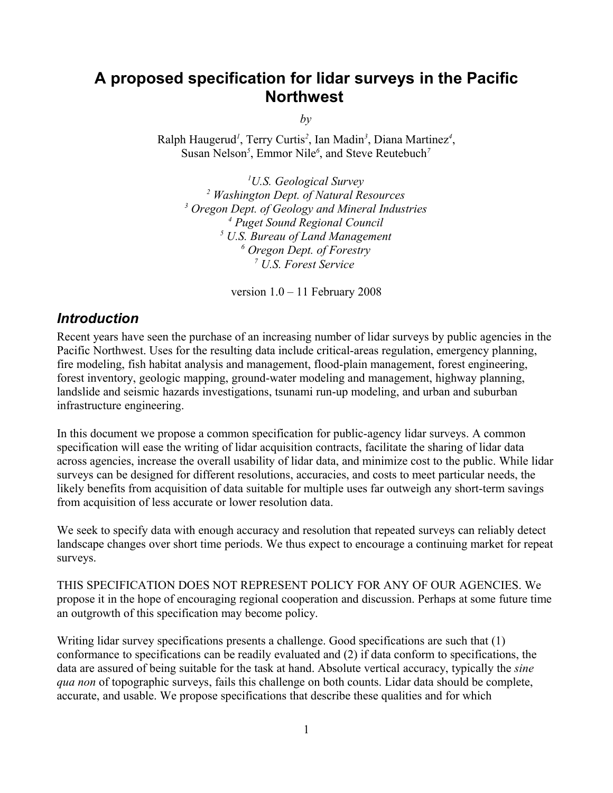# **A proposed specification for lidar surveys in the Pacific Northwest**

*by*

Ralph Haugerud*<sup>1</sup>* , Terry Curtis*<sup>2</sup>* , Ian Madin*<sup>3</sup>* , Diana Martinez*<sup>4</sup>* , Susan Nelson<sup>5</sup>, Emmor Nile<sup>6</sup>, and Steve Reutebuch<sup>7</sup>

*U.S. Geological Survey Washington Dept. of Natural Resources Oregon Dept. of Geology and Mineral Industries Puget Sound Regional Council U.S. Bureau of Land Management Oregon Dept. of Forestry U.S. Forest Service* 

version 1.0 – 11 February 2008

### *Introduction*

Recent years have seen the purchase of an increasing number of lidar surveys by public agencies in the Pacific Northwest. Uses for the resulting data include critical-areas regulation, emergency planning, fire modeling, fish habitat analysis and management, flood-plain management, forest engineering, forest inventory, geologic mapping, ground-water modeling and management, highway planning, landslide and seismic hazards investigations, tsunami run-up modeling, and urban and suburban infrastructure engineering.

In this document we propose a common specification for public-agency lidar surveys. A common specification will ease the writing of lidar acquisition contracts, facilitate the sharing of lidar data across agencies, increase the overall usability of lidar data, and minimize cost to the public. While lidar surveys can be designed for different resolutions, accuracies, and costs to meet particular needs, the likely benefits from acquisition of data suitable for multiple uses far outweigh any short-term savings from acquisition of less accurate or lower resolution data.

We seek to specify data with enough accuracy and resolution that repeated surveys can reliably detect landscape changes over short time periods. We thus expect to encourage a continuing market for repeat surveys.

THIS SPECIFICATION DOES NOT REPRESENT POLICY FOR ANY OF OUR AGENCIES. We propose it in the hope of encouraging regional cooperation and discussion. Perhaps at some future time an outgrowth of this specification may become policy.

Writing lidar survey specifications presents a challenge. Good specifications are such that (1) conformance to specifications can be readily evaluated and (2) if data conform to specifications, the data are assured of being suitable for the task at hand. Absolute vertical accuracy, typically the *sine qua non* of topographic surveys, fails this challenge on both counts. Lidar data should be complete, accurate, and usable. We propose specifications that describe these qualities and for which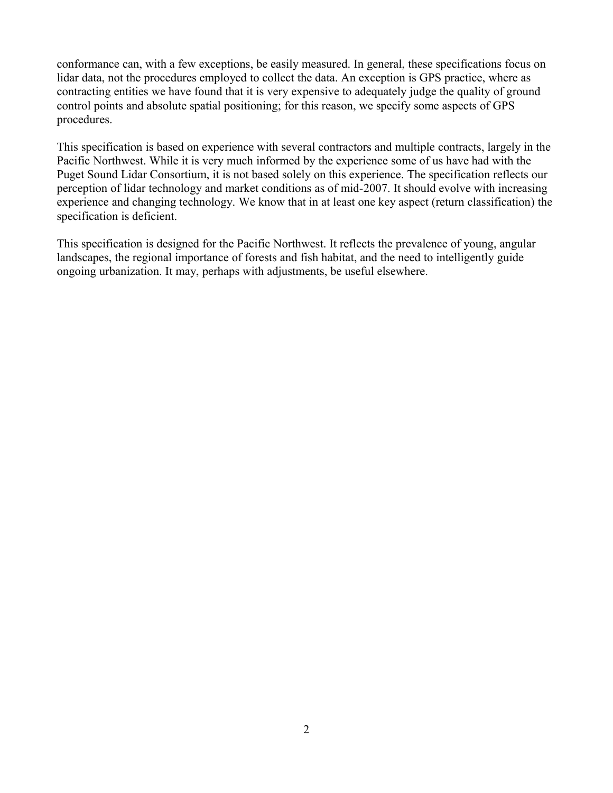conformance can, with a few exceptions, be easily measured. In general, these specifications focus on lidar data, not the procedures employed to collect the data. An exception is GPS practice, where as contracting entities we have found that it is very expensive to adequately judge the quality of ground control points and absolute spatial positioning; for this reason, we specify some aspects of GPS procedures.

This specification is based on experience with several contractors and multiple contracts, largely in the Pacific Northwest. While it is very much informed by the experience some of us have had with the Puget Sound Lidar Consortium, it is not based solely on this experience. The specification reflects our perception of lidar technology and market conditions as of mid-2007. It should evolve with increasing experience and changing technology. We know that in at least one key aspect (return classification) the specification is deficient.

This specification is designed for the Pacific Northwest. It reflects the prevalence of young, angular landscapes, the regional importance of forests and fish habitat, and the need to intelligently guide ongoing urbanization. It may, perhaps with adjustments, be useful elsewhere.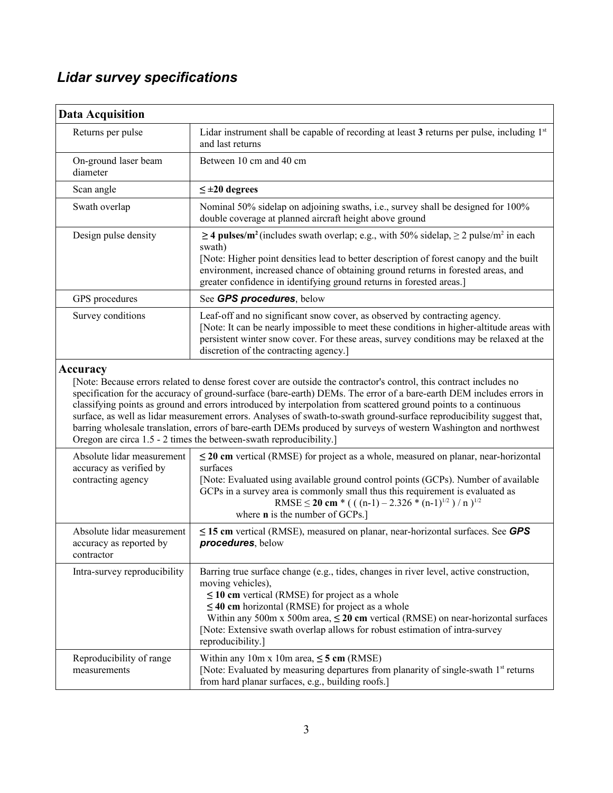# *Lidar survey specifications*

| <b>Data Acquisition</b>                                                     |                                                                                                                                                                                                                                                                                                                                                                                                                                                                                                                                                                                                                                                                                    |
|-----------------------------------------------------------------------------|------------------------------------------------------------------------------------------------------------------------------------------------------------------------------------------------------------------------------------------------------------------------------------------------------------------------------------------------------------------------------------------------------------------------------------------------------------------------------------------------------------------------------------------------------------------------------------------------------------------------------------------------------------------------------------|
| Returns per pulse                                                           | Lidar instrument shall be capable of recording at least 3 returns per pulse, including 1 <sup>st</sup><br>and last returns                                                                                                                                                                                                                                                                                                                                                                                                                                                                                                                                                         |
| On-ground laser beam<br>diameter                                            | Between 10 cm and 40 cm                                                                                                                                                                                                                                                                                                                                                                                                                                                                                                                                                                                                                                                            |
| Scan angle                                                                  | $\leq \pm 20$ degrees                                                                                                                                                                                                                                                                                                                                                                                                                                                                                                                                                                                                                                                              |
| Swath overlap                                                               | Nominal 50% sidelap on adjoining swaths, i.e., survey shall be designed for 100%<br>double coverage at planned aircraft height above ground                                                                                                                                                                                                                                                                                                                                                                                                                                                                                                                                        |
| Design pulse density                                                        | $\geq$ 4 pulses/m <sup>2</sup> (includes swath overlap; e.g., with 50% sidelap, $\geq$ 2 pulse/m <sup>2</sup> in each<br>swath)<br>[Note: Higher point densities lead to better description of forest canopy and the built<br>environment, increased chance of obtaining ground returns in forested areas, and<br>greater confidence in identifying ground returns in forested areas.]                                                                                                                                                                                                                                                                                             |
| GPS procedures                                                              | See GPS procedures, below                                                                                                                                                                                                                                                                                                                                                                                                                                                                                                                                                                                                                                                          |
| Survey conditions                                                           | Leaf-off and no significant snow cover, as observed by contracting agency.<br>[Note: It can be nearly impossible to meet these conditions in higher-altitude areas with<br>persistent winter snow cover. For these areas, survey conditions may be relaxed at the<br>discretion of the contracting agency.]                                                                                                                                                                                                                                                                                                                                                                        |
|                                                                             | [Note: Because errors related to dense forest cover are outside the contractor's control, this contract includes no<br>specification for the accuracy of ground-surface (bare-earth) DEMs. The error of a bare-earth DEM includes errors in<br>classifying points as ground and errors introduced by interpolation from scattered ground points to a continuous<br>surface, as well as lidar measurement errors. Analyses of swath-to-swath ground-surface reproducibility suggest that,<br>barring wholesale translation, errors of bare-earth DEMs produced by surveys of western Washington and northwest<br>Oregon are circa 1.5 - 2 times the between-swath reproducibility.] |
| Absolute lidar measurement<br>accuracy as verified by<br>contracting agency | $\leq$ 20 cm vertical (RMSE) for project as a whole, measured on planar, near-horizontal<br>surfaces<br>[Note: Evaluated using available ground control points (GCPs). Number of available<br>GCPs in a survey area is commonly small thus this requirement is evaluated as<br>RMSE $\leq$ 20 cm $*($ ((n-1) – 2.326 $*(n-1)^{1/2}$ )/n) <sup>1/2</sup><br>where <b>n</b> is the number of GCPs.]                                                                                                                                                                                                                                                                                  |
| Absolute lidar measurement<br>accuracy as reported by<br>contractor         | $\leq$ 15 cm vertical (RMSE), measured on planar, near-horizontal surfaces. See GPS<br>procedures, below                                                                                                                                                                                                                                                                                                                                                                                                                                                                                                                                                                           |
| Intra-survey reproducibility                                                | Barring true surface change (e.g., tides, changes in river level, active construction,<br>moving vehicles),<br>$\leq$ 10 cm vertical (RMSE) for project as a whole<br>$\leq$ 40 cm horizontal (RMSE) for project as a whole<br>Within any 500m x 500m area, $\leq 20$ cm vertical (RMSE) on near-horizontal surfaces<br>[Note: Extensive swath overlap allows for robust estimation of intra-survey<br>reproducibility.]                                                                                                                                                                                                                                                           |
| Reproducibility of range<br>measurements                                    | Within any 10m x 10m area, $\leq$ 5 cm (RMSE)<br>[Note: Evaluated by measuring departures from planarity of single-swath 1 <sup>st</sup> returns<br>from hard planar surfaces, e.g., building roofs.]                                                                                                                                                                                                                                                                                                                                                                                                                                                                              |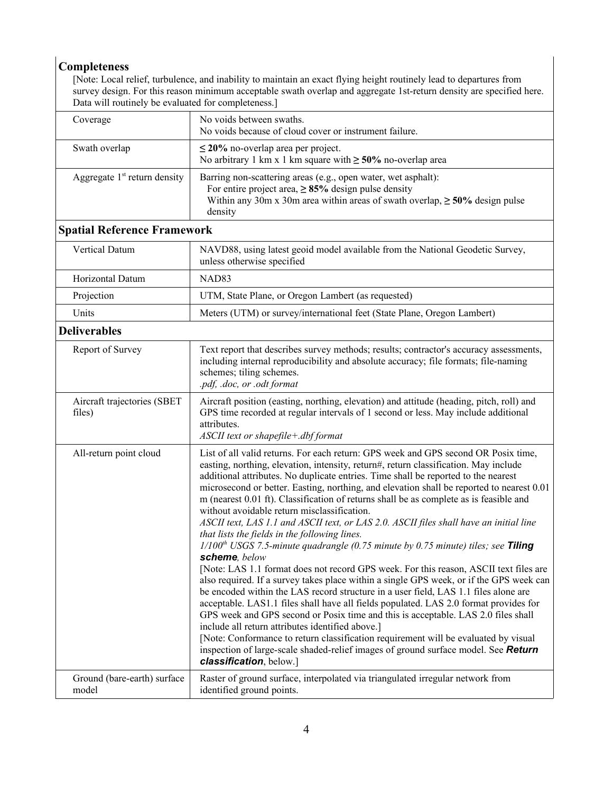## **Completeness**

[Note: Local relief, turbulence, and inability to maintain an exact flying height routinely lead to departures from survey design. For this reason minimum acceptable swath overlap and aggregate 1st-return density are specified here. Data will routinely be evaluated for completeness.]

| Coverage                              | No voids between swaths.<br>No voids because of cloud cover or instrument failure.                                                                                                                                                                                                                                                                                                                                                                                                                                                                                                                                                                                                                                                                                                                                                                                                                                                                                                                                                                                                                                                                                                                                                                                                                                                                                                                                                                                             |
|---------------------------------------|--------------------------------------------------------------------------------------------------------------------------------------------------------------------------------------------------------------------------------------------------------------------------------------------------------------------------------------------------------------------------------------------------------------------------------------------------------------------------------------------------------------------------------------------------------------------------------------------------------------------------------------------------------------------------------------------------------------------------------------------------------------------------------------------------------------------------------------------------------------------------------------------------------------------------------------------------------------------------------------------------------------------------------------------------------------------------------------------------------------------------------------------------------------------------------------------------------------------------------------------------------------------------------------------------------------------------------------------------------------------------------------------------------------------------------------------------------------------------------|
| Swath overlap                         | $\leq$ 20% no-overlap area per project.<br>No arbitrary 1 km x 1 km square with $\geq 50\%$ no-overlap area                                                                                                                                                                                                                                                                                                                                                                                                                                                                                                                                                                                                                                                                                                                                                                                                                                                                                                                                                                                                                                                                                                                                                                                                                                                                                                                                                                    |
| Aggregate $1st$ return density        | Barring non-scattering areas (e.g., open water, wet asphalt):<br>For entire project area, $\geq 85\%$ design pulse density<br>Within any 30m x 30m area within areas of swath overlap, $\geq 50\%$ design pulse<br>density                                                                                                                                                                                                                                                                                                                                                                                                                                                                                                                                                                                                                                                                                                                                                                                                                                                                                                                                                                                                                                                                                                                                                                                                                                                     |
| <b>Spatial Reference Framework</b>    |                                                                                                                                                                                                                                                                                                                                                                                                                                                                                                                                                                                                                                                                                                                                                                                                                                                                                                                                                                                                                                                                                                                                                                                                                                                                                                                                                                                                                                                                                |
| Vertical Datum                        | NAVD88, using latest geoid model available from the National Geodetic Survey,<br>unless otherwise specified                                                                                                                                                                                                                                                                                                                                                                                                                                                                                                                                                                                                                                                                                                                                                                                                                                                                                                                                                                                                                                                                                                                                                                                                                                                                                                                                                                    |
| Horizontal Datum                      | NAD83                                                                                                                                                                                                                                                                                                                                                                                                                                                                                                                                                                                                                                                                                                                                                                                                                                                                                                                                                                                                                                                                                                                                                                                                                                                                                                                                                                                                                                                                          |
| Projection                            | UTM, State Plane, or Oregon Lambert (as requested)                                                                                                                                                                                                                                                                                                                                                                                                                                                                                                                                                                                                                                                                                                                                                                                                                                                                                                                                                                                                                                                                                                                                                                                                                                                                                                                                                                                                                             |
| Units                                 | Meters (UTM) or survey/international feet (State Plane, Oregon Lambert)                                                                                                                                                                                                                                                                                                                                                                                                                                                                                                                                                                                                                                                                                                                                                                                                                                                                                                                                                                                                                                                                                                                                                                                                                                                                                                                                                                                                        |
| <b>Deliverables</b>                   |                                                                                                                                                                                                                                                                                                                                                                                                                                                                                                                                                                                                                                                                                                                                                                                                                                                                                                                                                                                                                                                                                                                                                                                                                                                                                                                                                                                                                                                                                |
| Report of Survey                      | Text report that describes survey methods; results; contractor's accuracy assessments,<br>including internal reproducibility and absolute accuracy; file formats; file-naming<br>schemes; tiling schemes.<br>.pdf, .doc, or .odt format                                                                                                                                                                                                                                                                                                                                                                                                                                                                                                                                                                                                                                                                                                                                                                                                                                                                                                                                                                                                                                                                                                                                                                                                                                        |
| Aircraft trajectories (SBET<br>files) | Aircraft position (easting, northing, elevation) and attitude (heading, pitch, roll) and<br>GPS time recorded at regular intervals of 1 second or less. May include additional<br>attributes.<br>ASCII text or shapefile+.dbf format                                                                                                                                                                                                                                                                                                                                                                                                                                                                                                                                                                                                                                                                                                                                                                                                                                                                                                                                                                                                                                                                                                                                                                                                                                           |
| All-return point cloud                | List of all valid returns. For each return: GPS week and GPS second OR Posix time,<br>easting, northing, elevation, intensity, return#, return classification. May include<br>additional attributes. No duplicate entries. Time shall be reported to the nearest<br>microsecond or better. Easting, northing, and elevation shall be reported to nearest 0.01<br>m (nearest 0.01 ft). Classification of returns shall be as complete as is feasible and<br>without avoidable return misclassification.<br>ASCII text, LAS 1.1 and ASCII text, or LAS 2.0. ASCII files shall have an initial line<br>that lists the fields in the following lines.<br>$1/100th$ USGS 7.5-minute quadrangle (0.75 minute by 0.75 minute) tiles; see Tiling<br>scheme, below<br>[Note: LAS 1.1 format does not record GPS week. For this reason, ASCII text files are<br>also required. If a survey takes place within a single GPS week, or if the GPS week can<br>be encoded within the LAS record structure in a user field, LAS 1.1 files alone are<br>acceptable. LAS1.1 files shall have all fields populated. LAS 2.0 format provides for<br>GPS week and GPS second or Posix time and this is acceptable. LAS 2.0 files shall<br>include all return attributes identified above.]<br>[Note: Conformance to return classification requirement will be evaluated by visual<br>inspection of large-scale shaded-relief images of ground surface model. See Return<br>classification, below.] |
| Ground (bare-earth) surface<br>model  | Raster of ground surface, interpolated via triangulated irregular network from<br>identified ground points.                                                                                                                                                                                                                                                                                                                                                                                                                                                                                                                                                                                                                                                                                                                                                                                                                                                                                                                                                                                                                                                                                                                                                                                                                                                                                                                                                                    |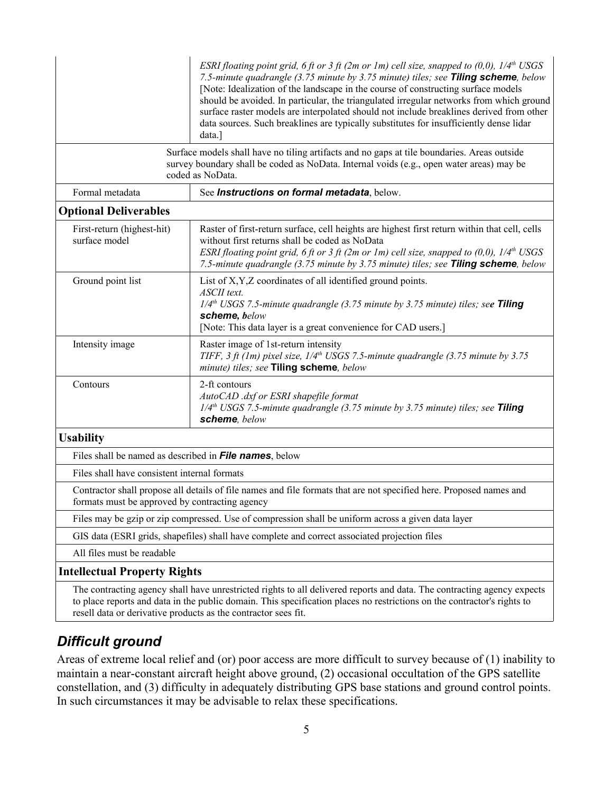|                                                | ESRI floating point grid, 6 ft or 3 ft (2m or 1m) cell size, snapped to (0,0), $1/4^{th}$ USGS<br>7.5-minute quadrangle (3.75 minute by 3.75 minute) tiles; see Tiling scheme, below<br>[Note: Idealization of the landscape in the course of constructing surface models<br>should be avoided. In particular, the triangulated irregular networks from which ground<br>surface raster models are interpolated should not include breaklines derived from other<br>data sources. Such breaklines are typically substitutes for insufficiently dense lidar<br>data.] |
|------------------------------------------------|---------------------------------------------------------------------------------------------------------------------------------------------------------------------------------------------------------------------------------------------------------------------------------------------------------------------------------------------------------------------------------------------------------------------------------------------------------------------------------------------------------------------------------------------------------------------|
|                                                | Surface models shall have no tiling artifacts and no gaps at tile boundaries. Areas outside<br>survey boundary shall be coded as NoData. Internal voids (e.g., open water areas) may be<br>coded as NoData.                                                                                                                                                                                                                                                                                                                                                         |
| Formal metadata                                | See Instructions on formal metadata, below.                                                                                                                                                                                                                                                                                                                                                                                                                                                                                                                         |
| <b>Optional Deliverables</b>                   |                                                                                                                                                                                                                                                                                                                                                                                                                                                                                                                                                                     |
| First-return (highest-hit)<br>surface model    | Raster of first-return surface, cell heights are highest first return within that cell, cells<br>without first returns shall be coded as NoData<br>ESRI floating point grid, 6 ft or 3 ft (2m or 1m) cell size, snapped to (0,0), $1/4th$ USGS<br>7.5-minute quadrangle (3.75 minute by 3.75 minute) tiles; see Tiling scheme, below                                                                                                                                                                                                                                |
| Ground point list                              | List of X, Y, Z coordinates of all identified ground points.<br>ASCII text.<br>1/4 <sup>th</sup> USGS 7.5-minute quadrangle (3.75 minute by 3.75 minute) tiles; see Tiling<br>scheme, below<br>[Note: This data layer is a great convenience for CAD users.]                                                                                                                                                                                                                                                                                                        |
| Intensity image                                | Raster image of 1st-return intensity<br>TIFF, 3 ft (1m) pixel size, $1/4th$ USGS 7.5-minute quadrangle (3.75 minute by 3.75<br>minute) tiles; see Tiling scheme, below                                                                                                                                                                                                                                                                                                                                                                                              |
| Contours                                       | 2-ft contours<br>AutoCAD .dxf or ESRI shapefile format<br>$1/4th$ USGS 7.5-minute quadrangle (3.75 minute by 3.75 minute) tiles; see Tiling<br>scheme, below                                                                                                                                                                                                                                                                                                                                                                                                        |
| <b>Usability</b>                               |                                                                                                                                                                                                                                                                                                                                                                                                                                                                                                                                                                     |
|                                                | Files shall be named as described in File names, below                                                                                                                                                                                                                                                                                                                                                                                                                                                                                                              |
| Files shall have consistent internal formats   |                                                                                                                                                                                                                                                                                                                                                                                                                                                                                                                                                                     |
| formats must be approved by contracting agency | Contractor shall propose all details of file names and file formats that are not specified here. Proposed names and                                                                                                                                                                                                                                                                                                                                                                                                                                                 |
|                                                | Files may be gzip or zip compressed. Use of compression shall be uniform across a given data layer                                                                                                                                                                                                                                                                                                                                                                                                                                                                  |
|                                                | GIS data (ESRI grids, shapefiles) shall have complete and correct associated projection files                                                                                                                                                                                                                                                                                                                                                                                                                                                                       |
| All files must be readable                     |                                                                                                                                                                                                                                                                                                                                                                                                                                                                                                                                                                     |
| <b>Intellectual Property Rights</b>            |                                                                                                                                                                                                                                                                                                                                                                                                                                                                                                                                                                     |
|                                                | The contracting agency shall have unrestricted rights to all delivered reports and data. The contracting agency expects<br>to place reports and data in the public domain. This specification places no restrictions on the contractor's rights to                                                                                                                                                                                                                                                                                                                  |

# *Difficult ground*

resell data or derivative products as the contractor sees fit.

Areas of extreme local relief and (or) poor access are more difficult to survey because of (1) inability to maintain a near-constant aircraft height above ground, (2) occasional occultation of the GPS satellite constellation, and (3) difficulty in adequately distributing GPS base stations and ground control points. In such circumstances it may be advisable to relax these specifications.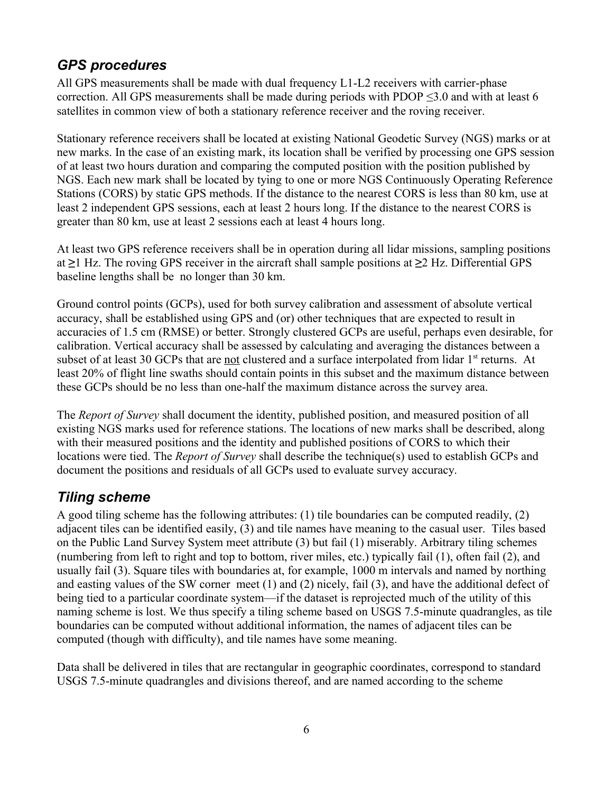# *GPS procedures*

All GPS measurements shall be made with dual frequency L1-L2 receivers with carrier-phase correction. All GPS measurements shall be made during periods with PDOP ≤3.0 and with at least 6 satellites in common view of both a stationary reference receiver and the roving receiver.

Stationary reference receivers shall be located at existing National Geodetic Survey (NGS) marks or at new marks. In the case of an existing mark, its location shall be verified by processing one GPS session of at least two hours duration and comparing the computed position with the position published by NGS. Each new mark shall be located by tying to one or more NGS Continuously Operating Reference Stations (CORS) by static GPS methods. If the distance to the nearest CORS is less than 80 km, use at least 2 independent GPS sessions, each at least 2 hours long. If the distance to the nearest CORS is greater than 80 km, use at least 2 sessions each at least 4 hours long.

At least two GPS reference receivers shall be in operation during all lidar missions, sampling positions at **≥**1 Hz. The roving GPS receiver in the aircraft shall sample positions at **≥**2 Hz. Differential GPS baseline lengths shall be no longer than 30 km.

Ground control points (GCPs), used for both survey calibration and assessment of absolute vertical accuracy, shall be established using GPS and (or) other techniques that are expected to result in accuracies of 1.5 cm (RMSE) or better. Strongly clustered GCPs are useful, perhaps even desirable, for calibration. Vertical accuracy shall be assessed by calculating and averaging the distances between a subset of at least 30 GCPs that are not clustered and a surface interpolated from lidar 1<sup>st</sup> returns. At least 20% of flight line swaths should contain points in this subset and the maximum distance between these GCPs should be no less than one-half the maximum distance across the survey area.

The *Report of Survey* shall document the identity, published position, and measured position of all existing NGS marks used for reference stations. The locations of new marks shall be described, along with their measured positions and the identity and published positions of CORS to which their locations were tied. The *Report of Survey* shall describe the technique(s) used to establish GCPs and document the positions and residuals of all GCPs used to evaluate survey accuracy.

# *Tiling scheme*

A good tiling scheme has the following attributes: (1) tile boundaries can be computed readily, (2) adjacent tiles can be identified easily, (3) and tile names have meaning to the casual user. Tiles based on the Public Land Survey System meet attribute (3) but fail (1) miserably. Arbitrary tiling schemes (numbering from left to right and top to bottom, river miles, etc.) typically fail (1), often fail (2), and usually fail (3). Square tiles with boundaries at, for example, 1000 m intervals and named by northing and easting values of the SW corner meet (1) and (2) nicely, fail (3), and have the additional defect of being tied to a particular coordinate system—if the dataset is reprojected much of the utility of this naming scheme is lost. We thus specify a tiling scheme based on USGS 7.5-minute quadrangles, as tile boundaries can be computed without additional information, the names of adjacent tiles can be computed (though with difficulty), and tile names have some meaning.

Data shall be delivered in tiles that are rectangular in geographic coordinates, correspond to standard USGS 7.5-minute quadrangles and divisions thereof, and are named according to the scheme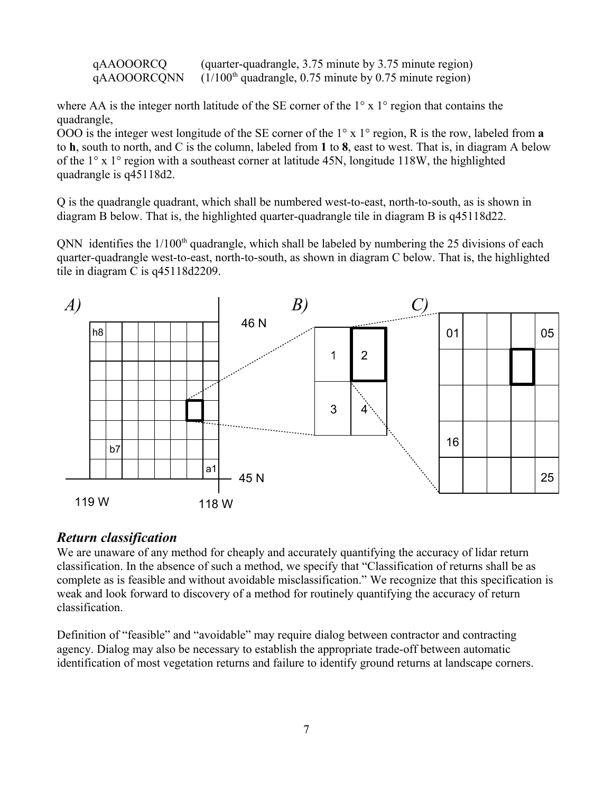qAAOOORCQ (quarter-quadrangle, 3.75 minute by 3.75 minute region)  $qAAOOORCONN$  (1/100<sup>th</sup> quadrangle, 0.75 minute by 0.75 minute region)

where AA is the integer north latitude of the SE corner of the 1<sup>o</sup> x 1<sup>o</sup> region that contains the quadrangle,

OOO is the integer west longitude of the SE corner of the 1° x 1° region, R is the row, labeled from **a** to **h**, south to north, and C is the column, labeled from **1** to **8**, east to west. That is, in diagram A below of the 1° x 1° region with a southeast corner at latitude 45N, longitude 118W, the highlighted quadrangle is q45118d2.

Q is the quadrangle quadrant, which shall be numbered west-to-east, north-to-south, as is shown in diagram B below. That is, the highlighted quarter-quadrangle tile in diagram B is q45118d22.

QNN identifies the  $1/100<sup>th</sup>$  quadrangle, which shall be labeled by numbering the 25 divisions of each quarter-quadrangle west-to-east, north-to-south, as shown in diagram C below. That is, the highlighted tile in diagram C is q45118d2209.



#### *Return classification*

We are unaware of any method for cheaply and accurately quantifying the accuracy of lidar return classification. In the absence of such a method, we specify that "Classification of returns shall be as complete as is feasible and without avoidable misclassification." We recognize that this specification is weak and look forward to discovery of a method for routinely quantifying the accuracy of return classification.

Definition of "feasible" and "avoidable" may require dialog between contractor and contracting agency. Dialog may also be necessary to establish the appropriate trade-off between automatic identification of most vegetation returns and failure to identify ground returns at landscape corners.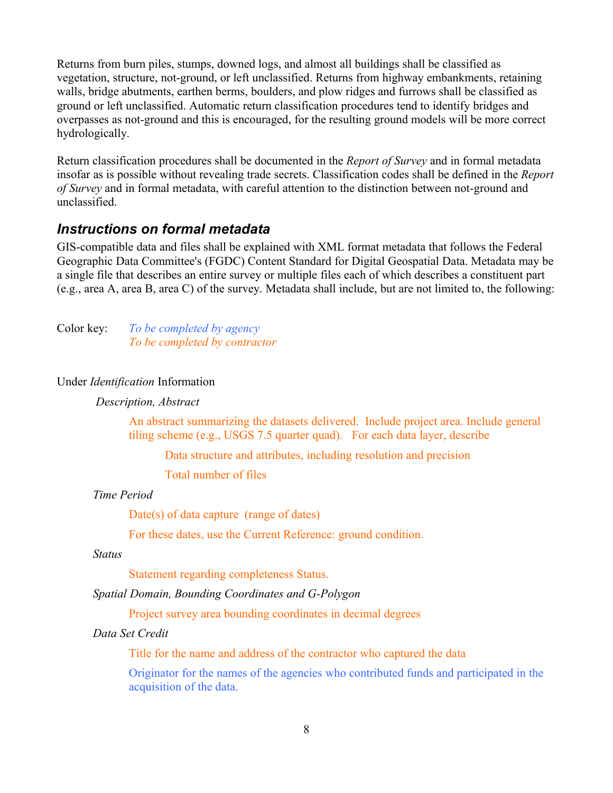Returns from burn piles, stumps, downed logs, and almost all buildings shall be classified as vegetation, structure, not-ground, or left unclassified. Returns from highway embankments, retaining walls, bridge abutments, earthen berms, boulders, and plow ridges and furrows shall be classified as ground or left unclassified. Automatic return classification procedures tend to identify bridges and overpasses as not-ground and this is encouraged, for the resulting ground models will be more correct hydrologically.

Return classification procedures shall be documented in the *Report of Survey* and in formal metadata insofar as is possible without revealing trade secrets. Classification codes shall be defined in the *Report of Survey* and in formal metadata, with careful attention to the distinction between not-ground and unclassified.

## *Instructions on formal metadata*

GIS-compatible data and files shall be explained with XML format metadata that follows the Federal Geographic Data Committee's (FGDC) Content Standard for Digital Geospatial Data. Metadata may be a single file that describes an entire survey or multiple files each of which describes a constituent part (e.g., area A, area B, area C) of the survey. Metadata shall include, but are not limited to, the following:

Color key: *To be completed by agency To be completed by contractor*

#### Under *Identification* Information

#### *Description, Abstract*

An abstract summarizing the datasets delivered. Include project area. Include general tiling scheme (e.g., USGS 7.5 quarter quad). For each data layer, describe

Data structure and attributes, including resolution and precision

Total number of files

#### *Time Period*

Date(s) of data capture (range of dates)

For these dates, use the Current Reference: ground condition.

#### *Status*

Statement regarding completeness Status.

#### *Spatial Domain, Bounding Coordinates and G-Polygon*

Project survey area bounding coordinates in decimal degrees

#### *Data Set Credit*

Title for the name and address of the contractor who captured the data

Originator for the names of the agencies who contributed funds and participated in the acquisition of the data.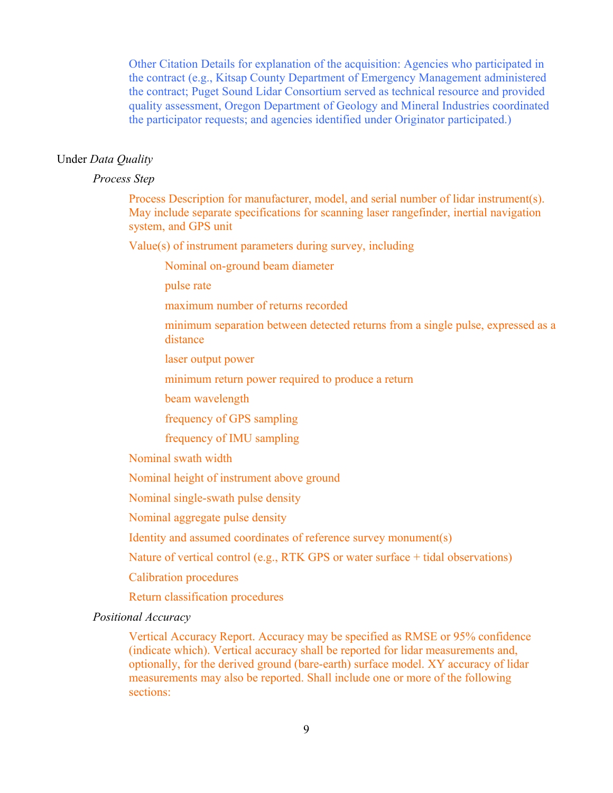Other Citation Details for explanation of the acquisition: Agencies who participated in the contract (e.g., Kitsap County Department of Emergency Management administered the contract; Puget Sound Lidar Consortium served as technical resource and provided quality assessment, Oregon Department of Geology and Mineral Industries coordinated the participator requests; and agencies identified under Originator participated.)

#### Under *Data Quality*

#### *Process Step*

Process Description for manufacturer, model, and serial number of lidar instrument(s). May include separate specifications for scanning laser rangefinder, inertial navigation system, and GPS unit

Value(s) of instrument parameters during survey, including

Nominal on-ground beam diameter

pulse rate

maximum number of returns recorded

minimum separation between detected returns from a single pulse, expressed as a distance

laser output power

minimum return power required to produce a return

beam wavelength

frequency of GPS sampling

frequency of IMU sampling

Nominal swath width

Nominal height of instrument above ground

Nominal single-swath pulse density

Nominal aggregate pulse density

Identity and assumed coordinates of reference survey monument(s)

Nature of vertical control (e.g., RTK GPS or water surface + tidal observations)

Calibration procedures

Return classification procedures

*Positional Accuracy*

Vertical Accuracy Report. Accuracy may be specified as RMSE or 95% confidence (indicate which). Vertical accuracy shall be reported for lidar measurements and, optionally, for the derived ground (bare-earth) surface model. XY accuracy of lidar measurements may also be reported. Shall include one or more of the following sections: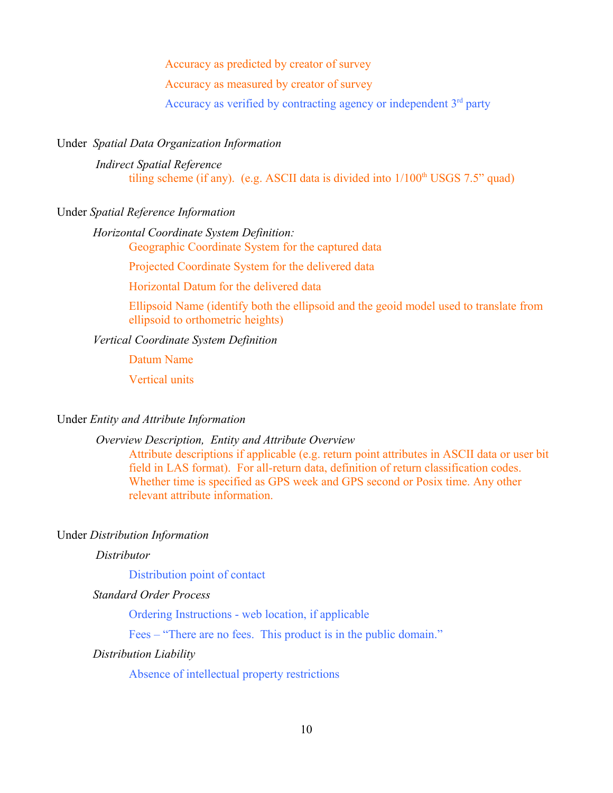Accuracy as predicted by creator of survey

Accuracy as measured by creator of survey

Accuracy as verified by contracting agency or independent  $3<sup>rd</sup>$  party

#### Under *Spatial Data Organization Information*

*Indirect Spatial Reference* tiling scheme (if any). (e.g. ASCII data is divided into  $1/100<sup>th</sup>$  USGS 7.5" quad)

#### Under *Spatial Reference Information*

#### *Horizontal Coordinate System Definition:*

Geographic Coordinate System for the captured data

Projected Coordinate System for the delivered data

Horizontal Datum for the delivered data

Ellipsoid Name (identify both the ellipsoid and the geoid model used to translate from ellipsoid to orthometric heights)

#### *Vertical Coordinate System Definition*

Datum Name

Vertical units

#### Under *Entity and Attribute Information*

#### *Overview Description, Entity and Attribute Overview*

Attribute descriptions if applicable (e.g. return point attributes in ASCII data or user bit field in LAS format). For all-return data, definition of return classification codes. Whether time is specified as GPS week and GPS second or Posix time. Any other relevant attribute information.

#### Under *Distribution Information*

#### *Distributor*

Distribution point of contact

#### *Standard Order Process*

Ordering Instructions - web location, if applicable

Fees – "There are no fees. This product is in the public domain."

#### *Distribution Liability*

Absence of intellectual property restrictions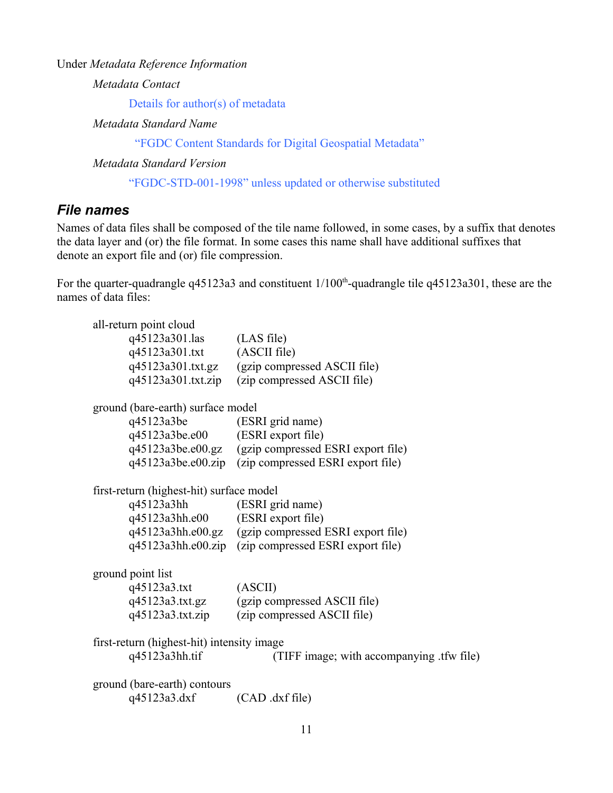Under *Metadata Reference Information*

*Metadata Contact*

Details for author(s) of metadata

*Metadata Standard Name*

"FGDC Content Standards for Digital Geospatial Metadata"

*Metadata Standard Version*

"FGDC-STD-001-1998" unless updated or otherwise substituted

### *File names*

Names of data files shall be composed of the tile name followed, in some cases, by a suffix that denotes the data layer and (or) the file format. In some cases this name shall have additional suffixes that denote an export file and (or) file compression.

For the quarter-quadrangle q45123a3 and constituent  $1/100<sup>th</sup>$ -quadrangle tile q45123a301, these are the names of data files:

| all-return point cloud                     |                                                      |
|--------------------------------------------|------------------------------------------------------|
| q45123a301.las (LAS file)                  |                                                      |
| q45123a301.txt (ASCII file)                |                                                      |
|                                            | q45123a301.txt.gz (gzip compressed ASCII file)       |
|                                            | q45123a301.txt.zip (zip compressed ASCII file)       |
| ground (bare-earth) surface model          |                                                      |
| q45123a3be (ESRI grid name)                |                                                      |
| q45123a3be.e00 (ESRI export file)          |                                                      |
|                                            | q45123a3be.e00.gz (gzip compressed ESRI export file) |
|                                            | q45123a3be.e00.zip (zip compressed ESRI export file) |
| first-return (highest-hit) surface model   |                                                      |
| q45123a3hh (ESRI grid name)                |                                                      |
| q45123a3hh.e00 (ESRI export file)          |                                                      |
|                                            | q45123a3hh.e00.gz (gzip compressed ESRI export file) |
|                                            | q45123a3hh.e00.zip (zip compressed ESRI export file) |
| ground point list                          |                                                      |
| q45123a3.txt                               | (ASCII)                                              |
|                                            | q45123a3.txt.gz (gzip compressed ASCII file)         |
| q45123a3.txt.zip                           | (zip compressed ASCII file)                          |
| first-return (highest-hit) intensity image |                                                      |
| q45123a3hh.tif                             | (TIFF image; with accompanying .tfw file)            |
| ground (bare-earth) contours               |                                                      |
| q45123a3.dxf                               | $(CAD \cdot dxf$ file)                               |